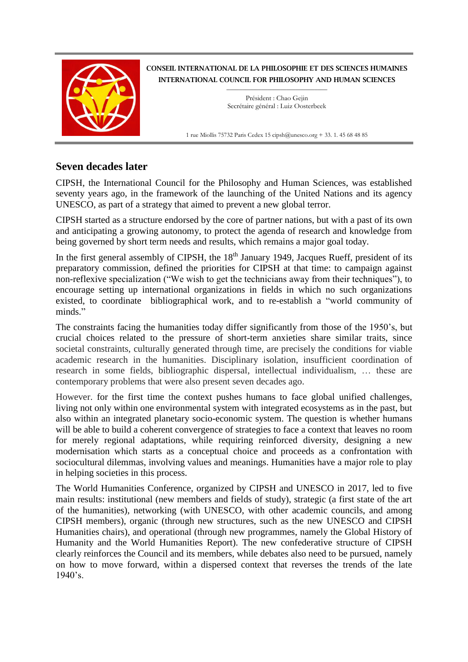

CONSEIL INTERNATIONAL DE LA PHILOSOPHIE ET DES SCIENCES HUMAINES INTERNATIONAL COUNCIL FOR PHILOSOPHY AND HUMAN SCIENCES

> $\_$ Président : Chao Gejin Secrétaire général : Luiz Oosterbeek

1 rue Miollis 75732 Paris Cedex 15 cipsh@unesco.org + 33. 1. 45 68 48 85

## **Seven decades later**

CIPSH, the International Council for the Philosophy and Human Sciences, was established seventy years ago, in the framework of the launching of the United Nations and its agency UNESCO, as part of a strategy that aimed to prevent a new global terror.

CIPSH started as a structure endorsed by the core of partner nations, but with a past of its own and anticipating a growing autonomy, to protect the agenda of research and knowledge from being governed by short term needs and results, which remains a major goal today.

In the first general assembly of CIPSH, the  $18<sup>th</sup>$  January 1949, Jacques Rueff, president of its preparatory commission, defined the priorities for CIPSH at that time: to campaign against non-reflexive specialization ("We wish to get the technicians away from their techniques"), to encourage setting up international organizations in fields in which no such organizations existed, to coordinate bibliographical work, and to re-establish a "world community of minds."

The constraints facing the humanities today differ significantly from those of the 1950's, but crucial choices related to the pressure of short-term anxieties share similar traits, since societal constraints, culturally generated through time, are precisely the conditions for viable academic research in the humanities. Disciplinary isolation, insufficient coordination of research in some fields, bibliographic dispersal, intellectual individualism, … these are contemporary problems that were also present seven decades ago.

However. for the first time the context pushes humans to face global unified challenges, living not only within one environmental system with integrated ecosystems as in the past, but also within an integrated planetary socio-economic system. The question is whether humans will be able to build a coherent convergence of strategies to face a context that leaves no room for merely regional adaptations, while requiring reinforced diversity, designing a new modernisation which starts as a conceptual choice and proceeds as a confrontation with sociocultural dilemmas, involving values and meanings. Humanities have a major role to play in helping societies in this process.

The World Humanities Conference, organized by CIPSH and UNESCO in 2017, led to five main results: institutional (new members and fields of study), strategic (a first state of the art of the humanities), networking (with UNESCO, with other academic councils, and among CIPSH members), organic (through new structures, such as the new UNESCO and CIPSH Humanities chairs), and operational (through new programmes, namely the Global History of Humanity and the World Humanities Report). The new confederative structure of CIPSH clearly reinforces the Council and its members, while debates also need to be pursued, namely on how to move forward, within a dispersed context that reverses the trends of the late 1940's.